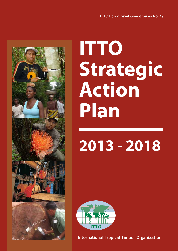

# **ITTO Strategic Action Plan**

# **2013 - 2018**



**International Tropical Timber Organization**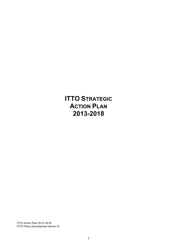**ITTO STRATEGIC ACTION PLAN 2013-2018**

ITTO Action Plan 2013–2018 ITTO Policy Development Series 19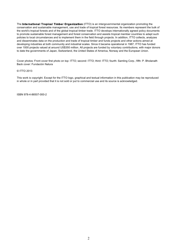The **International Tropical Timber Organization** (ITTO) is an intergovernmental organization promoting the conservation and sustainable management, use and trade of tropical forest resources. Its members represent the bulk of the world's tropical forests and of the global tropical timber trade. ITTO develops internationally agreed policy documents to promote sustainable forest management and forest conservation and assists tropical member countries to adapt such policies to local circumstances and to implement them in the field through projects. In addition, ITTO collects, analyzes and disseminates data on the production and trade of tropical timber and funds projects and other actions aimed at developing industries at both community and industrial scales. Since it became operational in 1987, ITTO has funded over 1000 projects valued at around US\$350 million. All projects are funded by voluntary contributions, with major donors to date the governments of Japan, Switzerland, the United States of America, Norway and the European Union.

Cover photos: Front cover first photo on top: ITTO; second: ITTO; third: ITTO; fourth: Samling Corp.; fifth: P. Bholanath Back cover: Fundación Natura

#### © ITTO 2013

This work is copyright. Except for the ITTO logo, graphical and textual information in this publication may be reproduced in whole or in part provided that it is not sold or put to commercial use and its source is acknowledged.

ISBN 978-4-86507-000-2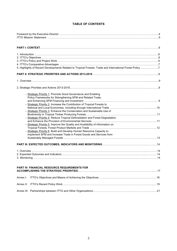# **TABLE OF CONTENTS**

| 5. Highlights of Recent Developments Related to Tropical Forests, Trade and International Forest Policy 7 |  |
|-----------------------------------------------------------------------------------------------------------|--|
|                                                                                                           |  |
|                                                                                                           |  |
|                                                                                                           |  |
| - Strategic Priority 1. Promote Good Governance and Enabling                                              |  |
| Policy Frameworks for Strengthening SFM and Related Trade,                                                |  |
|                                                                                                           |  |
| - Strategic Priority 2. Increase the Contribution of Tropical Forests to                                  |  |
|                                                                                                           |  |
| - Strategic Priority 3. Enhance the Conservation and Sustainable Use of                                   |  |
|                                                                                                           |  |
| - Strategic Priority 4. Reduce Tropical Deforestation and Forest Degradation                              |  |
|                                                                                                           |  |
| - Strategic Priority 5. Improve the Quality and Availability of Information on                            |  |
|                                                                                                           |  |
| - Strategic Priority 6. Build and Develop Human Resource Capacity to                                      |  |
| Implement SFM and Increase Trade in Forest Goods and Services from                                        |  |
|                                                                                                           |  |
|                                                                                                           |  |
|                                                                                                           |  |
|                                                                                                           |  |
|                                                                                                           |  |
|                                                                                                           |  |
|                                                                                                           |  |
| <b>PART IV: FINANCIAL RESOURCE REQUIREMENTS FOR</b>                                                       |  |
|                                                                                                           |  |
| Annex I:                                                                                                  |  |
|                                                                                                           |  |

Annex III: Partnerships between ITTO and Other Organizations…………………………………………………………21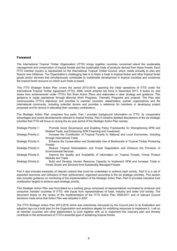#### **Foreword**

The International Tropical Timber Organization (ITTO) brings together countries concerned about the sustainable management and conservation of tropical forests and the sustainable trade of products derived from these forests. Each ITTO member country is represented on the International Tropical Timber Council, which meets annually to plan and finance new initiatives. The Organization's challenging task is to foster a trade in tropical timber and other tropical forest goods and/or services that simultaneously contributes to sustainable development in tropical countries and conserves the tropical forest resource on which such trade is based.

This ITTO Strategic Action Plan covers the period 2013-2018, spanning the initial operations of ITTO under the International Tropical Timber Agreement (ITTA), 2006, which entered into force in December 2011. It builds on, and draws from achievements under ITTO's first three Action Plans and elaborates a clear strategy and guidance. This guidance is made operational through Biennial Work Programs, Thematic Programs and projects. The Plan also communicates ITTO's objectives and priorities to member countries, stakeholders, partner organizations and the international community, including potential donors and provides a reference for members in developing project proposals and for donors in allocating their voluntary contributions.

The Strategic Action Plan comprises four parts. Part I provides background information on ITTO, its comparative advantages and recent developments relevant to tropical forests. Part II contains detailed descriptions of the six strategic priorities that ITTO will focus on during the six year period of the Strategic Action Plan namely:

| Strategic Priority 1: | Promote Good Governance and Enabling Policy Frameworks for Strengthening SFM and<br>Related Trade, and Enhancing SFM Financing and Investment  |
|-----------------------|------------------------------------------------------------------------------------------------------------------------------------------------|
| Strategic Priority 2: | Increase the Contribution of Tropical Forests to National and Local Economies, Including<br>through International Trade                        |
| Strategic Priority 3: | Enhance the Conservation and Sustainable Use of Biodiversity in Tropical Timber Producing<br>Forests                                           |
| Strategic Priority 4: | Reduce Tropical Deforestation and Forest Degradation and Enhance the Provision of<br><b>Environmental Services</b>                             |
| Strategic Priority 5: | Improve the Quality and Availability of Information on Tropical Forests, Forest Product<br>Markets and Trade                                   |
| Strategic Priority 6: | Build and Develop Human Resource Capacity to Implement SFM and Increase Trade in<br>Forest Goods and Services from Sustainably Managed Forests |

Part II also includes examples of relevant actions that could be undertaken to achieve each priority. Part III is a set of expected outcomes and indicators of their achievement, organized according to the six strategic priorities. This section also includes guidance on monitoring of the implementation of the Strategic Action Plan. Part IV provides indicative fund mobilization targets to achieve each strategic priority.

This Strategic Action Plan was formulated by a working group composed of representatives nominated by producer and consumer member countries of ITTO, with inputs from representatives of trade, industry and wider civil society. The document draws on the review of the implementation of the ITTO Action Plan 2008-2011 and of relevant Council decisions made since that Action Plan was adopted in 2007.

The ITTO Strategic Action Plan 2013-2018 which was extensively discussed by the Council prior to its finalization and adoption lays out a bold plan for the Organization and ambitious targets for mobilizing resources to implement it. I call on all member countries and other stakeholders to work together with us to implement this visionary plan and thereby contribute to the achievement of ITTO's essential goal of sustaining tropical forests.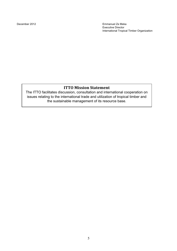December 2012 Emmanuel Ze Meka Executive Director International Tropical Timber Organization

# **ITTO
Mission
Statement**

The ITTO facilitates discussion, consultation and international cooperation on issues relating to the international trade and utilization of tropical timber and the sustainable management of its resource base.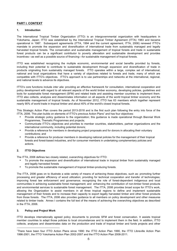## **PART I. CONTEXT**

#### **1. Introduction**

The International Tropical Timber Organization (ITTO) is an intergovernmental organization with headquarters in Yokohama, Japan; ITTO was established by the International Tropical Timber Agreement (ITTA) 1983 and became operational in 1987. Subsequent agreements (ITTA, 1994 and the current agreement, ITTA, 2006) renewed ITTO's mandate to promote the expansion and diversification of international trade from sustainably managed and legally harvested tropical forests. The conservation and sustainable management of tropical forests and trade in sustainable forest products can be a significant contributor to poverty alleviation and sustainable development and provides incentives—as well as a possible source of financing—for sustainable management of tropical forests.

ITTO was established recognizing the multiple economic, environmental and social benefits provided by forests, including their potential to contribute to sustainable development through expansion and diversification of trade in products originating from sustainably managed forests. ITTO operates within a large, complex set of international, national and local organizations that have a variety of objectives related to forests and trade, many of which are compatible with ITTO's objectives. ITTO's approach is to use partnerships and networks at the international, regional, and national levels to advance its objectives.

ITTO's core functions include *inter alia*: providing an effective framework for consultation, international cooperation and policy development with regard to all relevant aspects of the world timber economy, developing policies, guidelines and tools for sustainable forest management (SFM) and related trade and assisting member countries to implement them. ITTO also collects, analyzes and disseminates information on all aspects of the world tropical timber economy and the sustainable management of tropical forests. As of November 2012, ITTO has 63 members which together represent nearly 90% of world trade in tropical timber and about 40% of the world's closed tropical forests.

This Strategic Action Plan covers the period 2013-2018 and is the first such plan following the entry into force of the ITTA, 2006. This plan builds on elements of ITTO's previous Action Plans<sup>1</sup> and has four objectives:

- Provide strategic policy guidance to the organization; this guidance is made operational through Biennial Work Programmes, Thematic Programmes and projects;
- Communicate ITTO's objectives and priorities to member countries, stakeholders, partner organizations and the international community, including potential donors;
- Provide a reference for members in developing project proposals and for donors in allocating their voluntary contributions; and
- Provide a reference for producer members in developing national policies for the management of their tropical forests and forest-based industries, and for consumer members in undertaking complementary policies and actions.

#### **2. ITTO Objectives**

The ITTA, 2006 defines two closely related, overarching objectives for ITTO:

- To promote the expansion and diversification of international trade in tropical timber from sustainably managed and legally harvested forests
- To promote the sustainable management of tropical timber-producing forests.

The ITTA, 2006 goes on to illustrate a wide variety of means of achieving these objectives, such as: promoting further processing and greater efficiency of wood utilization; providing for technical cooperation and transfer of technologies; improving forest law enforcement and governance; recognizing the role of forest-dependent indigenous and local communities in achieving sustainable forest management; and enhancing the contribution of non-timber forest products and environmental services to sustainable forest management. The ITTA, 2006 provides broad scope for ITTO's work, allowing the Organization to assist members in all three tropical regions to define and implement sustainable management of their forests and to increase their capacity to export legally harvested timber and other forest products from those forests. The ITTA, 2006 also provides guidance to all members on policy development and other measures related to timber trade. Annex I contains the full text of the means of achieving the overarching objectives as described in the ITTA, 2006.

#### **3. Policy and Project Work**

 $\overline{a}$ 

ITTO develops internationally agreed policy documents to promote SFM and forest conservation. It assists tropical member countries to adapt those policies to local circumstances and to implement them in the field. In addition, ITTO collects, analyses and disseminates data on the production and trade of tropical timber and funds projects and other

<sup>1</sup> There have been four ITTO Action Plans since 1990: the ITTO Action Plan 1990, the ITTO Libreville Action Plan 1996-2001, the ITTO Yokohama Action Plan 2002-2007 and the ITTO Action Plan 2008-2011.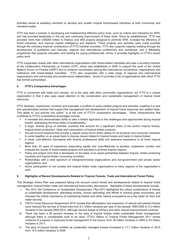activities aimed at assisting members to develop and sustain tropical forest-based industries at both community and industrial scales.

ITTO has been a pioneer in developing and implementing effective policy tools, such as criteria and indicators for SFM, and has provided leadership in the use and continuing improvement of these tools. Since its establishment, ITTO has provided more than US\$300 million to finance over 800 projects designed to promote SFM, increase the efficiency of forest industries, and improve market intelligence and statistics. These projects and activities were made possible through the voluntary financial contributions of ITTO member countries. ITTO also supports capacity building through the development of guidelines and manuals, regional and international conferences and workshops, and a fellowship programme that supports education and training for young professionals. Annex II provides highlights of ITTO's recent policy work.

ITTO cooperates closely with other international organizations with forest-related mandates and was a founding member of the Collaborative Partnership on Forests (CPF), which was established in 2000 to support the work of the United Nations Forum on Forests (UNFF) and to enhance coordination among the international conventions, organizations and institutions with forest-related mandates. ITTO also cooperates with a wide range of regional and national-level organizations and civil-society and private-sector stakeholders. Annex III provides a list of organizations with which ITTO has formed partnerships.

#### **4. ITTO's Comparative Advantages**

ITTO is concerned with trade and industry, as is the case with other commodity organizations, but ITTO is a unique organization in that it also pays equal attention to the conservation and sustainable management of tropical forest resources.

ITTO develops, implements, monitors and evaluates a portfolio of policy-related projects and activities, enabling it to test and operationalize policies that support the management and development of tropical forest resources and related trade. This ability to "put policies into action" is at the core of ITTO's comparative advantages. Other characteristics that contribute to ITTO's comparative advantages include:

- A mandate and demonstrated ability to take a holistic approach to the challenges and opportunities facing tropical forests, addressing the three pillars of sustainability;
- A large, diverse group of member countries that account for a significant share of the world's tropical forests, tropical timber production, trade and consumption of tropical timber products;
- Annual Council sessions that provide a regular policy forum which allows for all producer and consumer members to come together on an equal basis to discuss issues related to tropical forests and trade in tropical timber;
- A small, cost-effective Secretariat with diverse professional skills and extensive experience in all three tropical regions:
- More than 25 years of experience responding rapidly and cost-effectively to develop, implement, monitor and evaluate the results of forest-related projects and activities in all three tropical regions;
- Policy and project work that is developed on the basis of an equal partnership between tropical timber producing countries and tropical timber consuming countries;
- Partnerships with a wide spectrum of intergovernmental organizations and non-government and private sector organizations; and
- Active participation of civil society and tropical timber trade organizations in many aspects of the organization's work.

#### **5. Highlights of Recent Developments Related to Tropical Forests, Trade and International Forest Policy**

This Strategic Action Plan was prepared taking into account recent trends and developments related to tropical forest management, tropical timber trade and international forest policy discussions. Highlights of these developments include:

- i. The 2012 UN Conference on Sustainable Development ("Rio+20") highlighted the critical contributions of forests to sustainable development, alleviating poverty, human well-being, and efforts to achieve green economies, and stressed the critical importance of maintaining forests and other natural ecosystems as a key basis for food and water security.
- ii. FAO's Forest Resource Assessment 2010 reveals that afforestation and expansion of natural and planted forests have reduced the net loss of forest area from 8.3 million hectares per year in the decade 1990-2000 to 5.2 million hectares in the decade 2000-2010, although serious losses of primary and other natural tropical forests continue.
- iii. There has been a 50 percent increase in the area of tropical forests under sustainable forest management; although there is considerable work to be done, ITTO's Status of Tropical Forest Management 2011 shows evidence of progress in improved forest management in the tropics, from 36 million hectares in 2005 to 53 million hectares in 2011.
- iv. The area of tropical forests certified as sustainably managed forests increased to 17.7 million hectares in 2010 from 10.5 million hectares in 2005.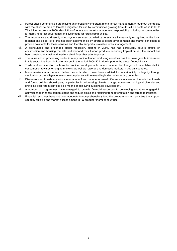- v. Forest-based communities are playing an increasingly important role in forest management throughout the tropics with the absolute area of forests designated for use by communities growing from 43 million hectares in 2002 to 71 million hectares in 2008; devolution of tenure and forest management responsibility including to communities, is improving forest governance and livelihoods for forest communities.
- vi. The importance and diversity of ecosystem services provided by forests are increasingly recognized at the local, regional and global level; this has been accompanied by efforts to create arrangements and market conditions to provide payments for these services and thereby support sustainable forest management.
- vii. A pronounced and prolonged global recession, starting in 2008, has had particularly severe effects on construction and housing markets and demand for all wood products, including tropical timber; the impact has been greatest for small and medium sized forest-based enterprises.
- viii. The value added processing sector in many tropical timber producing countries has had slow growth; investment in this sector has been limited or absent in the period 2008-2011 due in part to the global financial crisis.
- ix. Trade and consumption patterns for tropical wood products have continued to change, with a notable shift in consumption towards emerging markets, as well as regional and domestic markets in tropical countries.
- x. Major markets now demand timber products which have been certified for sustainability or legality through verification or due diligence to ensure compliance with relevant legislation of exporting countries.
- xi. Discussions on forests at various international fora continue to reveal differences in views on the role that forests and forest policies should play, in particular in addressing climate change, conserving biological diversity and providing ecosystem services as a means of achieving sustainable development.
- xii. A number of programmes have emerged to provide financial resources to developing countries engaged in activities that enhance carbon stocks and reduce emissions resulting from deforestation and forest degradation.
- xiii. Financial resources have not been adequate to comprehensively fund the programmes and activities that support capacity building and market access among ITTO producer member countries.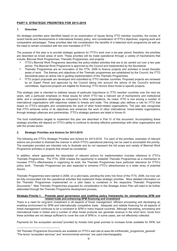# **PART II. STRATEGIC PRIORITIES FOR 2013-2018**

#### **1. Overview**

 $\overline{a}$ 

Six strategic priorities were identified based on an examination of issues facing ITTO member countries, the review of recent trends and developments in international forestry policy, and consideration of ITTO's objectives, ongoing work and comparative advantages. These priorities take into consideration the benefits of a balanced work programme as well as the need to remain consistent with the core mandates of ITTO.

The purpose of this plan is to provide strategic guidance for ITTO's work over a six-year period; therefore, the priorities are described as broad areas of work. These priorities will be made operational through a variety of mechanisms that include: Biennial Work Programmes, Thematic Programmes, and projects.

- ITTO's Biennial Work Programme describes the policy-related activities that are to be carried out over a two year period. The Biennial Work Programme is approved by the Council and implemented by the Secretariat.
- Thematic Programmes are an innovation of the ITTA, 2006 to finance projects and activities in broad thematic areas of work. The themes and objectives of the Thematic programmes are established by the Council; the ITTO Secretariat plays an active role in guiding implementation of the Thematic Programmes.
- ITTO project proposals are developed and submitted by ITTO member countries. Proposed projects are reviewed by an Expert Panel and approved by the Council taking into account the advice of the Council's technical committees. Approved projects are eligible for financing; ITTO donors direct funds to specific projects.

This strategic plan is intended to address issues of particular importance to ITTO member countries over the next six years, with a particular emphasis on those issues for which ITTO has a relevant set of mechanisms and institutional skills, and a comparative advantage as compared to other organizations. As noted, ITTO is one among a number of international organizations with objectives related to forests and trade. This strategic plan defines a role for ITTO that draws on ITTO's strengths and complements the work of other forest-related organizations. The plan also recognizes that ITTO achieves some of its objectives and enhances the work of other international, forest-related organizations through strategic alliances and partnerships. ITTO's strategic partners are listed in Annex III.

The fund mobilization targets to implement this plan are described in Part IV of this document. Accomplishing these strategic priorities will depend on ITTO's ability to continue to develop effective partnerships with other organizations and with the private sector.

#### **2. Strategic Priorities and Actions for 2013-2018**

The following are ITTO's Strategic Priorities and Actions for 2013-2018. For each of the priorities, examples of relevant actions are provided to illustrate the manner in which ITTO's operational planning can be used to accomplish the priority. The examples provided are intended only to illustrate and do not represent the full scope and variety of Biennial Work Programme activities or projects that should be considered.

In addition, where appropriate the description of relevant actions for implementation includes reference to ITTO's Thematic Programmes. The ITTA, 2006 creates the opportunity to establish Thematic Programmes as a mechanism to increase ITTO's effectiveness in organizing its work; the Thematic Programmes have particular relevance for ITTO's policy work. Thematic Programmes are also expected to enhance ITTO's attractiveness to a wider array of potential donors.

Thematic Programmes were started in 2008, on a pilot basis, pending the entry into force of the ITTA, 2006, but now can be fully incorporated into the operational activities that implement these strategic priorities. More detailed information on the Thematic Programmes implemented on a pilot basis is contained in the respective Thematic Programme Documents.<sup>2</sup> New Thematic Programmes proposed for consideration in this Strategic Action Plan will need to be further elaborated through the Thematic Programme development process.

#### **Strategic Priority 1. Promote good governance and enabling policy frameworks for strengthening SFM and related trade and enhancing SFM financing and investment**

There is a need for long-term investment in all aspects of forest management, efficient processing and developing an enabling environment for SFM and internationally competitive trade. Adequate and reliable financing for all aspects of forest management continues to be a constraint to SFM in many tropical countries. Although harvesting, processing and international trade in timber and a number of other forest products can generate revenue in the short term, funds from these activities are not always sufficient to cover the cost of SFM or, in some cases, are not effectively collected.

Payments for the ecosystem services<sup>3</sup> provided by forests hold great promise to increase funds available for SFM, but

<sup>2</sup> All Thematic Programme Documents are available on ITTO's web site at www.itto.int/thematic\_programme\_general/ 3 The terms "ecosystem services" and "environmental services" are used interchangeably.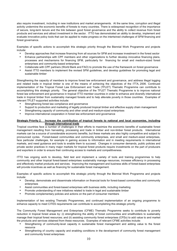also require investment, including in new institutions and market arrangements. At the same time, corruption and illegal activity undermine the economic benefits of forests to many countries. There is widespread recognition of the importance of secure, long-term tenure and the link between good forest governance and the ability to collect revenue from forest products and services and attract investment in the sector. ITTO has demonstrated an ability to develop, implement and evaluate innovative policy tools that can be applied to make progress on the intertwined challenges of SFM financing and forest governance.

Examples of specific actions to accomplish this strategic priority through the Biennial Work Programme and projects include:

- Develop approaches that increase financing from all sources for SFM and increase investment in the forest sector
- Enhance partnerships with CPF members and other organizations to further develop innovative financing plans, processes and mechanisms for financing SFM, particularly for financing for small and medium-sized forest enterprises and community-based enterprises
- Collaborate with CPF partners (World Bank and FAO) to promote the use of the framework on forest governance
- Assist ITTO members to implement the revised SFM guidelines, and develop guidelines for promoting legal and sustainable timber

Strengthening the capacity of members to improve forest law enforcement and governance, and address illegal logging and related trade in tropical timber is one of the means of achieving the objectives of the ITTA, 2006. Continued implementation of the Tropical Forest Law Enforcement and Trade (TFLET) Thematic Programme can contribute to accomplishing this strategic priority. The general objective of the TFLET Thematic Programme is to improve national forest law enforcement and governance in tropical ITTO member countries in order to enhance and diversify international trade in tropical timber from sustainably managed forests and to help alleviate poverty in those countries. Examples of relevant TFLET-supported activities include:

- Strengthening forest law compliance and governance
- Support to production and marketing of legally produced tropical timber and effective supply chain management
- Strengthening capacity of community and other small and medium-sized enterprises
- Improve international cooperation in forest law enforcement and governance

#### **Strategic Priority 2. Increase the contribution of tropical forests to national and local economies, including through international trade**

Tropical countries face a number of challenges in their efforts to maximize the economic benefits of sustainable forest management resulting from harvesting, processing and trade in timber and non-timber forest products. International markets can be a source of considerable economic benefits, but these markets are also highly competitive and subject to pronounced cycles. Forest-based communities and community enterprises, and small and medium-sized enterprises, face particular challenges, for example in gaining access to information and in meeting requirements in international markets, and need guidance and tools to enable them to succeed. Changes in consumer demands, public policies and private sector practices in many major markets for tropical forest products require investments on the part of producers and exporters in order to ensure their continuing access to markets and competitiveness.

ITTO has ongoing work to develop**,** field test and implement a variety of tools and training programmes to help community and other tropical forest-based enterprises sustainably manage resources, increase efficiency in processing and effectively market products and services. Improving the management and business skills of forest-based enterprises will provide incentives as well as financing for sustainable forest management.

Examples of specific actions to accomplish this strategic priority through the Biennial Work Programme and projects include:

- Develop, demonstrate and disseminate information on financial tools for forest-based communities and community enterprises
- Assist communities and forest-based enterprises with business skills, including marketing
- Promote understanding of new initiatives related to trade in legal and sustainable timber
- Promote complementary policies and actions on the part of consumer members

Implementation of two existing Thematic Programmes, and continued implementation of an ongoing programme to enhance capacity to meet CITES requirements can contribute to accomplishing this strategic priority.

The Community Forest Management and Enterprises (CFME) Thematic Programme seeks to contribute to poverty reduction in tropical forest areas by: (i) strengthening the ability of forest communities and smallholders to sustainably manage their tropical forest resources; and (ii) assisting community forest enterprises (CFEs) to add value to and market the products and services obtained from these resources. Examples of relevant CFME activities include:

- Strengthening of community-level capacity in sustainable forest management and adding value to the forest resource
- Strengthening of country capacity and enabling conditions in the development of community forest management and community forest enterprises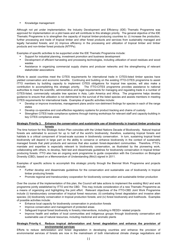• Knowledge management

Although not yet under implementation, the Industry Development and Efficiency (IDE) Thematic Programme was approved for implementation on a pilot basis and will contribute to this strategic priority. The general objective of the IDE Thematic Programme is to strengthen the capacity of tropical timber-producing countries to: (i) increase the production, further processing and trade of tropical timber and other forest products and services from sustainably managed and legally harvested forests; and (ii) improve efficiency in the processing and utilization of tropical timber and timber products and non-timber forest products (NTFPs).

Examples of specific activities to be supported under the IDE Thematic Programme include:

- Support for industrial planning, investment promotion and business development
- Development of efficient harvesting and processing technologies, including utilization of wood residues and wood wastes
- Assistance in organizing commercial supply chains and producer networks and the strengthening of relevant stakeholder associations

Efforts to assist countries meet the CITES requirements for international trade in CITES-listed timber species have yielded conservation and economic benefits. Continuing and building on the existing ITTO-CITES programme to assist ITTO members by building capacity to implement CITES obligations for tropical tree species, will also make a contribution to accomplishing this strategic priority. The ITTO-CITES programme provides assistance to national authorities to meet the scientific, administrative and legal requirements for managing and regulating trade in a number of CITES-listed, commercially valuable tree species in Asia, Latin America and Africa. The programme helps develop guidance to ensure that utilization is not detrimental to the survival of the listed species and assists members in meeting CITES requirements for international trade. Examples of specific activities include:

- Develop or improve inventories, management plans and/or non-detriment findings for species in each of the range states
- Develop co-operative and cost-effective regulatory systems for product tracking and chains of custody
- Strengthen CITES trade compliance systems through training workshops for relevant staff and capacity-building in key CITES compliance areas

#### **Strategic Priority 3. Enhance the conservation and sustainable use of biodiversity in tropical timber producing forests**

The time horizon for this Strategic Action Plan coincides with the United Nations Decade of Biodiversity. Natural tropical forests are estimated to account for up to half of the world's biodiversity; therefore, sustaining tropical forests and habitats is a critical component of broad-scale success in biodiversity conservation. In turn, sustaining tropical forest biodiversity will depend in large part on the ability to conserve or enhance biodiversity in the context of sustainably managed forests that yield products and services that also sustain forest-dependent communities. Therefore, ITTO's mandate and expertise is especially relevant to biodiversity conservation, as illustrated by the pioneering work, collaborating with others, to develop, field test and disseminate guidelines for biodiversity conservation in tropical timber producing forests. ITTO also has an ongoing work programme to guide cooperation with the Convention on Biological Diversity (CBD), based on a Memorandum of Understanding (MoU) signed in 2011.

Examples of specific actions to accomplish this strategic priority through the Biennial Work Programme and projects include:

- Further develop and disseminate guidelines for the conservation and sustainable use of biodiversity in tropical timber producing forests
- Promote regional and transboundary cooperation for biodiversity conservation and sustainable timber production

Over the course of the implementation of this plan, the Council will take actions to implement the existing MoU and work programme jointly established by ITTO and the CBD. This may include consideration of a new Thematic Programme as a means of organizing and highlighting the joint effort. Relevant objectives of the ITTO-CBD Joint Work Programme include (i) transboundary conservation of tropical forest resources; (ii) combating forest degradation and invasive alien species; (iii) biodiversity conservation in tropical production forests; and (iv) forest biodiversity and livelihoods. Examples of possible activities include:

- Enhance local capacity for biodiversity conservation in production forests
- Improve conservation and management of protected areas
- Safeguard tropical forest biodiversity in forestry interventions, including in REDD+ related projects
- Improve health and welfare of local communities and indigenous groups through biodiversity conservation and sustainable use of natural resources, including medicinal and aromatic plants

#### **Strategic Priority 4. Reduce tropical deforestation and forest degradation and enhance the provision of environmental services**

Efforts to reduce deforestation and forest degradation in developing countries and enhance the provision of environmental services of forests are now in the mainstream of both international climate change negotiations and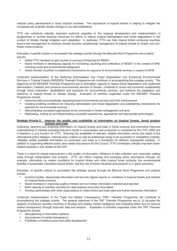national policy development in many tropical countries. The importance of tropical forests in helping to mitigate the consequences of global climate change is now well established.

ITTO can contribute critically important technical expertise to the ongoing development and implementation of programmes to provide financial resources for efforts to reduce tropical deforestation and forest degradation in the context of climate change mitigation and adaptation. In particular, ITTO can help tropical timber producing countries ensure that management to enhance climate services complements management of tropical forests for timber and nontimber forest products.

Examples of specific actions to accomplish this strategic priority through the Biennial Work Programme and projects include:

- Assist ITTO members to gain access to sources of financing for REDD+
- Assist members in developing capacity for monitoring, reporting and verification of REDD+ in the context of SFM, including social and environmental safeguards
- Assist member countries to implement mechanisms for payment of environmental services in support of SFM

Continued implementation of the Reducing Deforestation and Forest Degradation and Enhancing Environmental Services in Tropical Forests (REDDES) Thematic Programme will contribute to accomplishing this strategic priority. The objectives of the REDDES Thematic Programme are to strengthen capacity to reduce forest degradation and unplanned deforestation, maintain and enhance environmental services of forests, contribute to social and economic sustainability through forest restoration, rehabilitation and payments for environmental services, and enhance the adaptation and resilience of tropical forests to climate change. Examples of activities supported under the REDDES Thematic Programme include:

- Improving data and knowledge regarding forest environmental services and their enhancement
- Creating enabling conditions for reducing deforestation and forest degradation and establishing mechanisms for payment for environmental services
- Demonstrating successful approaches at the community or forest management unit level
- Replicating, scaling up and disseminating successful experiences, approaches and appropriate technologies

#### **Strategic Priority 5. Improve the quality and availability of information on tropical forests, forest product markets and trade**

Collecting, reporting and analyzing information on tropical forests and trade in forest products and promoting improved understanding of markets including long term trends in consumption and production is mandated by the ITTA, 2006 and is therefore a core function for ITTO. Ensuring the availability of relevant, reliable information serves the needs of the international policy dialogue, national policy makers as well as enterprises trying to be successful in competitive markets. Reliable, widely available information on production and trade is a foundation for efficient, transparent markets. In addition to supporting effective policy and market discussions for the Council, ITTO contributes critically important traderelated expertise in the context of the CPF.

There is a need for steady improvement in the quality of information, efficiency of data collection and, especially, adding value through interpretation and analysis. ITTO can inform ongoing and emerging policy discussions through, for example: information on market conditions for tropical timber and other tropical forest products; the environmental benefits of sustainably harvested tropical timber; and the role of forest industries and products in a "green economy."

Examples, of specific actions to accomplish this strategic priority through the Biennial Work Programme and projects include:

- Conduct studies, disseminate information and provide regular reports on conditions in tropical forests and markets for tropical forest products
- Assist members in improving quality of timber and non timber information collected and reported
- Build capacity of member countries for data analysis and policy formulation
- Develop partnerships with other organizations to collect forest and trade data and further harmonize information

Continued implementation of the Trade and Market Transparency (TMT) Thematic Programme will contribute to accomplishing this strategic priority. The general objectives of the TMT Thematic Programme are to: (i) increase the capacity of producer member countries to develop and employ market intelligence and marketing skills; and (ii) improve market transparency through improved data and analysis. Examples of activities supported under the TMT Thematic Programme include:

- Strengthening of information systems
- Improvement of market transparency
- Facilitation of market access and trade development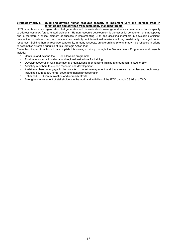#### **Strategic Priority 6. Build and develop human resource capacity to implement SFM and increase trade in forest goods and services from sustainably managed forests**

ITTO is, at its core, an organization that generates and disseminates knowledge and assists members to build capacity to address complex, forest-related problems. Human resource development is the essential component of that capacity and is therefore a critical element of success in implementing SFM and assisting members in developing efficient, competitive industries that can compete successfully in international markets utilizing sustainably managed forest resources. Building human resource capacity is, in many respects, an overarching priority that will be reflected in efforts to accomplish all of the priorities of this Strategic Action Plan.

Examples of specific actions to accomplish this strategic priority through the Biennial Work Programme and projects include:

- Continue and expand the ITTO Fellowship programme
- Provide assistance to national and regional institutions for training,
- Develop cooperation with international organizations in enhancing training and outreach related to SFM
- Assisting members to support research and development
- Assist members to engage in the transfer of forest management and trade related expertise and technology, including south-south, north –south and triangular cooperation
- Enhanced ITTO communication and outreach efforts
- Strengthen involvement of stakeholders in the work and activities of the ITTO through CSAG and TAG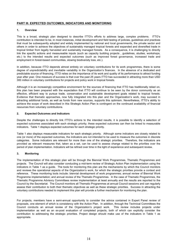#### **PART III. EXPECTED OUTCOMES, INDICATORS AND MONITORING**

#### **1. Overview**

This is a broad, strategic plan designed to describe ITTO's efforts to address large, complex problems. ITTO's contribution is intended to be, in most instances, initial development and field testing of policies, guidelines and practices that must be subsequently adopted and widely implemented by national and local governments, the private sector and others in order to achieve the objectives of sustainably managed tropical forests and expanded and diversified trade in tropical timber from legally harvested and sustainably managed forests. As a consequence, it is challenging to directly link the specific actions and measureable inputs (such as capacity building projects , guidelines, studies, workshops, etc.) to the intended results and expected outcomes (such as improved forest governance, increased trade and employment in forest-based communities, slowing biodiversity loss, etc.).

In addition, because ITTO depends almost entirely on voluntary contributions for its work programmes, there is some degree of unpredictability and inevitable variability in the Organization's finances. In the absence of a dedicated and predictable source of financing, ITTO relies on the importance of its work and quality of its performance to attract funding year after year. One measure of success is that over the past 25 years ITTO has succeeded in attracting more than USD 300 million in voluntary contributions for projects and policy work in tropical forests.

Although it is an increasingly competitive environment for the sources of financing that ITTO has traditionally relied on, this plan has been prepared with the expectation that ITTO will continue to be seen by the donor community as an effective, efficient way to pursue trade, conservation and sustainable development goals related to tropical forests. Evidence that thematic approaches, now fully integrated into this plan and the Organization's work, may succeed in attracting additional funds, as well as funds from new sources, supports this optimism. Nevertheless, ITTO's ability to achieve the scope of work described in this Strategic Action Plan is contingent on the continued availability of financial resources from voluntary contributions.

#### **2. Expected Outcomes and Indicators**

Despite the challenges to directly link ITTO's actions to the intended results, it is possible to identify a selection of expected outcomes associated with each strategic priority; these expected outcomes can then be linked to measurable indicators. Table 1 displays expected outcomes for each strategic priority.

Table 1 also displays measurable indicators for each strategic priority. Although some indicators are closely related to one (or more) of the expected outcomes, the indicators are not intended to be used to measure the outcomes in discrete categories. Some indicators are relevant for more than one of the strategic priorities. Therefore, the indicators are provided as relevant measures that, taken as a set, can be used to assess change related to the priorities over the period of plan implementation. Indicators will be refined over time in the light of experience and subsequent review.

#### **3. Monitoring**

The implementation of this strategic plan will be through the Biennial Work Programmes, Thematic Programmes and projects. The Council will also consider conducting a mid-term review of Strategic Action Plan implementation using the indicators in Table 1 as a guide. The tools for monitoring this plan are the mechanisms by which the Council monitors and reviews the operational aspects of the Organization's work, for which the strategic priorities provide a context and reference. These monitoring tools include: biennial development of work programmes; annual review of Biennial Work Programme implementation; and annual review of the Thematic Programmes. In the case of Thematic Programmes, the Thematic Programme Advisory Committees review implementation at least annually and the results are reported to the Council by the Secretariat. The Council monitors all Thematic Programmes at annual Council sessions and can regularly assess their contribution to both their thematic objectives as well as these strategic priorities. Success in attracting the voluntary contributions needed to implement this plan will provide a further mechanism for monitoring the plan.

For projects, members have a semi-annual opportunity to consider the advice contained in Expert Panel review of proposals, one element of which is consistency with the Action Plan. In addition, through the Technical Committees the Council conducts an annual review of the Organization's project work. This review includes projects under implementation as well as an ex-post evaluation of completed projects, both of which can explicitly consider the contribution to addressing the strategic priorities. Project design should make use of the indicators in Table 1 as appropriate.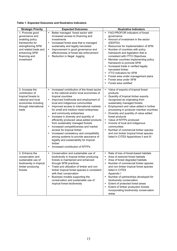#### **Table 1. Expected Outcomes and Illustrative Indicators**

| <b>Strategic Priority</b>                                                                                                                                            | <b>Expected Outcomes</b>                                                                                                                                                                                                                                                                                                                                                                                                                                                                                                                                                                                                                                                                                                                                      | <b>Illustrative Indicators</b>                                                                                                                                                                                                                                                                                                                                                                                                                                                                                                                                    |
|----------------------------------------------------------------------------------------------------------------------------------------------------------------------|---------------------------------------------------------------------------------------------------------------------------------------------------------------------------------------------------------------------------------------------------------------------------------------------------------------------------------------------------------------------------------------------------------------------------------------------------------------------------------------------------------------------------------------------------------------------------------------------------------------------------------------------------------------------------------------------------------------------------------------------------------------|-------------------------------------------------------------------------------------------------------------------------------------------------------------------------------------------------------------------------------------------------------------------------------------------------------------------------------------------------------------------------------------------------------------------------------------------------------------------------------------------------------------------------------------------------------------------|
| 1. Promote good<br>governance and<br>enabling policy<br>frameworks for<br>strengthening SFM<br>and related trade and<br>enhancing SFM<br>financing and<br>investment | Better managed forest sector with<br>$\bullet$<br>increased access to financing and<br>investments<br>Increased forest area that is managed<br>$\bullet$<br>sustainably and legally harvested<br>Improvement in good governance and<br>$\bullet$<br>effectiveness of forest law enforcement<br>Reduction in illegal logging<br>$\bullet$                                                                                                                                                                                                                                                                                                                                                                                                                      | FAO-PROFOR indicators of forest<br>$\bullet$<br>qovernance<br>Amount of investment in the sector<br>$\bullet$<br>(DDI/FDI)<br>Resources for implementation of SFM<br>$\bullet$<br>Number of countries with policy<br>framework and legislation that is<br>consistent with ITTO Objectives.<br>Member countries implementing policy<br>framework to promote SFM<br>Increased trade in verified legally<br>harvested timber<br><b>ITTO indicators for SFM</b><br>$\bullet$<br>Forest area under management plans<br>Forest area under SFM<br>Forest area certified  |
| 2. Increase the<br>contribution of<br>tropical forests to<br>national and local<br>economies including<br>through international<br>trade                             | Increased contribution of the forest sector<br>$\bullet$<br>to the national and/or local economies of<br>tropical countries<br>Improved livelihoods and employment of<br>$\bullet$<br>local and indigenous communities<br>Improved access to international markets<br>$\bullet$<br>for small and medium sized enterprises<br>and community enterprises<br>Increase in diversity and quantity of<br>efficiently produced value-added products<br>from sustainably managed forests<br>Increased competitiveness and market<br>$\bullet$<br>access for tropical timber<br>Increased consistency and compatibility<br>among systems to provide assurance of<br>legality and sustainability for tropical<br>timber<br>Increased contribution of NTFPs<br>$\bullet$ | Value of exports of tropical forest<br>$\bullet$<br>products<br>Quantity of tropical timber exports<br>$\bullet$<br>recognized as originating from<br>sustainably managed forests<br>Employment and value added in further<br>$\bullet$<br>processing in producer member countries<br>Diversity and quantity of value added<br>forest products<br>Value of NTFPs produced<br>Income of local and indigenous<br>$\bullet$<br>communities<br>Number of commercial timber species<br>and non timber tropical forest species<br>listed in CITES Appendices II and III |
| 3. Enhance the<br>conservation and<br>sustainable use of<br>biodiversity in tropical<br>timber producing<br>forests                                                  | Conservation and sustainable use of<br>$\bullet$<br>biodiversity in tropical timber producing<br>forests is maintained and enhanced<br>through SFM practices<br>Trade and utilization of timber and non<br>$\bullet$<br>timber tropical forest species is consistent<br>with their conservation<br>Business models supporting the<br>$\bullet$<br>conservation and sustainable use of<br>tropical forest biodiversity                                                                                                                                                                                                                                                                                                                                         | Rate of loss of forest-based habitats<br>Area of restored forest habitats<br>Area of forest degraded habitats<br>Number of commercial timber species<br>and non timber tropical forest species<br>listed in CITES<br>Appendix I<br>Number of partnerships developed for<br>$\bullet$<br>biodiversity conservation<br>Extent of protected forest areas<br>Extent of timber production forests<br>incorporating biodiversity conservation<br>areas                                                                                                                  |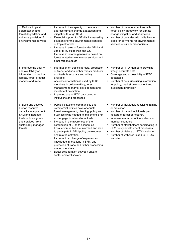| 4. Reduce tropical<br>deforestation and<br>forest degradation and<br>enhance provision of<br>environmental services                                                 | Increase in the capacity of members to<br>$\bullet$<br>address climate change adaptation and<br>mitigation through SFM<br>Financial support for SFM is increased by<br>$\bullet$<br>payments for the environmental services<br>of tropical forests<br>Increase in area of forest under SFM and<br>$\bullet$<br>use of ITTO guidelines and C&I<br>Increase in income generation based on<br>$\bullet$<br>forest related environmental services and<br>other forest outputs                                                                                                                                                                                       | Number of member countries with<br>forest policy framework for climate<br>change mitigation and adaptation<br>Number of countries with initiatives in<br>$\bullet$<br>place for payments for environmental<br>services or similar mechanisms                                                                                                                                                               |
|---------------------------------------------------------------------------------------------------------------------------------------------------------------------|-----------------------------------------------------------------------------------------------------------------------------------------------------------------------------------------------------------------------------------------------------------------------------------------------------------------------------------------------------------------------------------------------------------------------------------------------------------------------------------------------------------------------------------------------------------------------------------------------------------------------------------------------------------------|------------------------------------------------------------------------------------------------------------------------------------------------------------------------------------------------------------------------------------------------------------------------------------------------------------------------------------------------------------------------------------------------------------|
| 5. Improve the quality<br>and availability of<br>information on tropical<br>forests, forest product<br>markets and trade                                            | Information on tropical forests, production<br>$\bullet$<br>of timber and non timber forests products<br>and trade is accurate and widely<br>available<br>Accurate information is used by ITTO<br>$\bullet$<br>members in policy making, forest<br>management, market development and<br>investment promotion<br>Improved use of ITTO data by other<br>institutions and processes                                                                                                                                                                                                                                                                               | Number of ITTO members providing<br>timely, accurate data<br>Coverage and accessibility of ITTO<br>$\bullet$<br>databases<br>Number of countries using information<br>$\bullet$<br>for policy, market development and<br>investment promotion                                                                                                                                                              |
| 6. Build and develop<br>human resource<br>capacity to implement<br>SFM and increase<br>trade in forest goods<br>and services from<br>sustainably managed<br>forests | Public institutions, communities and<br>$\bullet$<br>commercial entities have adequate<br>forest management, planning, policy and<br>business skills needed to implement SFM<br>and engage in international trade<br>Increase in the awareness of the<br>$\bullet$<br>contribution of SFM to economies<br>Local communities are informed and able<br>$\bullet$<br>to participate in SFM policy development<br>and related activities<br>Increase in exchange of experiences,<br>knowledge innovations in SFM, and<br>promotion of trade and timber processing<br>among members<br>Better collaboration between private<br>$\bullet$<br>sector and civil society | Number of individuals receiving training<br>$\bullet$<br>or education<br>Number of trained individuals per<br>hectare of forest per country<br>Increase in number of innovations in<br>$\bullet$<br>member countries<br>Number of stakeholders participating in<br>$\bullet$<br>SFM policy development processes<br>Number of visitors to ITTO's website<br>Number of websites linked to ITTO's<br>website |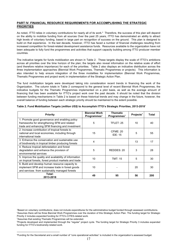#### **PART IV. FINANCIAL RESOURCE REQUIREMENTS FOR ACCOMPLISHING THE STRATEGIC PRIORITIES**

As noted, ITTO relies in voluntary contributions for nearly all of its work.<sup>4</sup> Therefore, the success of this plan will depend on the ability to mobilize funding from all sources Over the past 25 years, ITTO has demonstrated an ability to attract high levels of voluntary funding, based in large part on recognition of success on the ground. This plan is designed to build on that experience. In the last decade, however, ITTO has faced a number of financial challenges resulting from increased competition for forest-related development assistance funds. Resources available to the organization have not been adequate to fully fund the programmes and activities that support capacity building among ITTO producer member countries.

The indicative targets for funds mobilization are shown in Table 2. These targets display the scale of ITTO's ambitions across all priorities over the time horizon of the plan; the targets also reveal information on the relative scale of effort (and therefore relative importance) for each of the priorities. Table 2 also displays an indicative distribution across the three implementation approaches (Biennial Work Programmes, Thematic Programmes or projects). This information is also intended to help ensure integration of the three modalities for implementation (Biennial Work Programmes, Thematic Programmes and project work) in implementation of the Strategic Action Plan.

The fund mobilization targets were developed taking into consideration recent trends in financing the work of the Organization. The column totals in Table 2 correspond to the general level of recent Biennial Work Programmes, the indicative budgets for the Thematic Programmes implemented on a pilot basis, as well as the average amount of financing that has been available for ITTO's project work over the past decade. It should be noted that the division between funding mechanisms in Table 2 is based on these historical trends and may change in the future, however, the overall balance of funding between each strategic priority should be maintained to the extent possible.

| Priority                                                               | <b>Biennial Work</b><br>Programmes <sup>2</sup> | <b>Thematic</b><br>Programmes $3$ | Projects $4$ | <b>Total</b> |
|------------------------------------------------------------------------|-------------------------------------------------|-----------------------------------|--------------|--------------|
| 1. Promote good governance and enabling policy                         |                                                 |                                   |              |              |
| frameworks for strengthening SFM and related                           | 5                                               | <b>TFLET: 25</b>                  | 10           | 40           |
| trade and enhancing SFM financing and investment                       |                                                 |                                   |              |              |
| 2. Increase contribution of tropical forests to                        |                                                 | <b>CFME: 20</b>                   |              |              |
| national and local economies, including through<br>international trade | 15                                              | <b>IDE: 15</b>                    | 5            | 55           |
| 3. Enhance the conservation and sustainable use                        |                                                 |                                   |              |              |
| of biodiversity in tropical timber producing forests                   | 4                                               |                                   | 13           | 17           |
| 4. Reduce tropical deforestation and forest                            |                                                 |                                   |              |              |
| degradation and enhance the provision of                               | 5                                               | REDDES: 20                        | 3            | 28           |
| environmental services                                                 |                                                 |                                   |              |              |
| 5. Improve the quality and availability of information                 | 10                                              | <b>TMT: 15</b>                    | 5            | 30           |
| on tropical forests, forest product markets and trade                  |                                                 |                                   |              |              |
| 6. Build and develop human resource capacity to                        |                                                 |                                   |              |              |
| implement SFM and increase trade in forest goods                       | 10                                              |                                   | 20           | 30           |
| and services from sustainably managed forests                          |                                                 |                                   |              |              |
| Total:<br>2013-2018                                                    | 49                                              | 95                                | 56           | 200          |

| Table 2. Fund Mobilization Targets (million US\$) to Accomplish ITTO's Strategic Priorities, 2013-2018 <sup>1</sup> |  |  |
|---------------------------------------------------------------------------------------------------------------------|--|--|
|                                                                                                                     |  |  |

<sup>3</sup>Assumes that existing Thematic Programmes will be extended.

 $\overline{a}$ 

4 Projects developed and implemented through the "regular" project cycle. The funding target for Strategic Priority 3 includes expanded funding for ITTO's biodiversity-related work.

<sup>1</sup> Based on voluntary contributions; does not include expenditures for the administrative budget funded through assessed contributions. 2 Assumes there will be three Biennial Work Programmes over the duration of this Strategic Action Plan. The funding target for Strategic Priority 2 includes expanded funding for ITTO's CITES-related work.

<sup>4</sup> Funding for the Secretariat and a small number of "core operational activities" is included in the organization's assessed budget.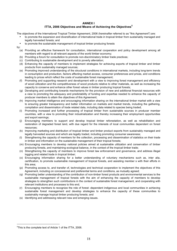#### **ANNEX I**

## **ITTA, 2006 Objectives and Means of Achieving the Objectives<sup>5</sup>**

The objectives of the International Tropical Timber Agreement, 2006 (hereinafter referred to as "this Agreement") are:

- to promote the expansion and diversification of international trade in tropical timber from sustainably managed and legally harvested forests; and
- to promote the sustainable management of tropical timber producing forests
- by:
	- (a) Providing an effective framework for consultation, international cooperation and policy development among all members with regard to all relevant aspects of the world timber economy;
	- (b) Providing a forum for consultation to promote non-discriminatory timber trade practices;
	- (c) Contributing to sustainable development and to poverty alleviation;
	- (d) Enhancing the capacity of members to implement strategies for achieving exports of tropical timber and timber products from sustainably managed sources;
	- (e) Promoting improved understanding of the structural conditions in international markets, including long-term trends in consumption and production, factors affecting market access, consumer preferences and prices, and conditions leading to prices which reflect the costs of sustainable forest management;
	- (f) Promoting and supporting research and development with a view to improving forest management and efficiency of wood utilization and the competitiveness of wood products relative to other materials, as well as increasing the capacity to conserve and enhance other forest values in timber producing tropical forests;
	- (g) Developing and contributing towards mechanisms for the provision of new and additional financial resources with a view to promoting the adequacy and predictability of funding and expertise needed to enhance the capacity of producer members to attain the objectives of this Agreement;
	- (h) Improving market intelligence and encouraging information sharing on the international timber market with a view to ensuring greater transparency and better information on markets and market trends, including the gathering, compilation and dissemination of trade related data, including data related to species being traded;
	- (i) Promoting increased and further processing of tropical timber from sustainable sources in producer member countries, with a view to promoting their industrialization and thereby increasing their employment opportunities and export earnings;
	- (j) Encouraging members to support and develop tropical timber reforestation, as well as rehabilitation and restoration of degraded forest land, with due regard for the interests of local communities dependent on forest resources;
	- (k) Improving marketing and distribution of tropical timber and timber product exports from sustainably managed and legally harvested sources and which are legally traded, including promoting consumer awareness;
	- (l) Strengthening the capacity of members for the collection, processing and dissemination of statistics on their trade in timber and information on the sustainable management of their tropical forests;
	- (m) Encouraging members to develop national policies aimed at sustainable utilization and conservation of timber producing forests, and maintaining ecological balance, in the context of the tropical timber trade;
	- (n) Strengthening the capacity of members to improve forest law enforcement and governance, and address illegal logging and related trade in tropical timber;
	- (o) Encouraging information sharing for a better understanding of voluntary mechanisms such as, inter alia, certification, to promote sustainable management of tropical forests, and assisting member s with their efforts in this area;
	- (p) Promoting access to, and transfer of, technologies and technical cooperation to implement the objectives of this Agreement, including on concessional and preferential terms and conditions, as mutually agreed;
	- (q) Promoting better understanding of the contribution of non-timber forest products and environmental services to the sustainable management of tropical forests with the aim of enhancing the capacity of members to develop strategies to strengthen such contributions in the context of sustainable forest management, and cooperating with relevant institutions and processes to this end;
	- (r) Encouraging members to recognize the role of forest -dependent indigenous and local communities in achieving sustainable forest management and develop strategies to enhance the capacity of these communities to sustainably manage tropical timber producing forests; and
	- (s) Identifying and addressing relevant new and emerging issues.

 $\overline{a}$ 

<sup>5</sup> This is the complete text of Article 1 of the ITTA, 2006.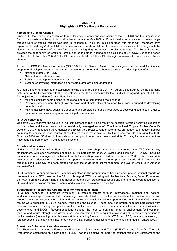#### **ANNEX II Highlights of ITTO's Recent Policy Work**

#### **Forests and Climate Change**

Since 2008, the Council has continued to monitor developments and discussions at the UNFCCC and their implications for tropical forests and the world tropical timber economy. In May 2008 an Expert meeting on advancing climate change through SFM of tropical forests was held in Yokohama. The ITTO in collaboration with other CPF members have organized "Forest Days" at the UNFCCC conferences to create a platform to share experiences and knowledge with the view to raising awareness of the role forests play in mitigating and adapting to climate change. The Forest Days also provided the opportunity for forests to remain high on the global agenda and discussions at UNFCCC. During the period of the ITTO Action Plan 2008-2011 CPF members developed the CPF strategic framework for forests and climate change.

At the UNFCCC Conference of parties (COP 16) held in Cancun, Mexico, Parties agreed on the need for financial support for developing countries to halt and reverse forest cover and carbon loss through the development of a:

- National strategy for REDD+;<br>• National farest reference layer
- National forest reference level;<br>• Robust and transparent monito
- Robust and transparent monitoring system; and
- System for providing information on how safeguards are being addressed.

A Green Climate Fund has been established (arising out of decisions at COP 17– Durban, South Africa) as the operating instrument of the Convention with the understanding that the architecture for the Fund will be agreed upon at COP 18. The objectives of the Green Climate Fund include:

- Making significant contributions to the global efforts at combating climate change;
- Promoting development through low emission and climate efficient activities by providing support to developing countries; and
- Making available, new, additional, adequate and predictable financial resources to developing countries in order to optimize impacts from adaptation and mitigation measures.

#### **ITTO Objective 2000**

Objective 2000 reaffirms the Council's "full commitment to moving as rapidly as possible towards achieving exports of tropical timber and timber products from sustainably managed sources". The International Tropical Timber Council's Decision 2(XXIX) requested the Organization's Executive Director to render assistance, on request, to producer member countries to identify, in each country, those factors which most severely limit progress towards achieving the ITTO Objective 2000 and SFM and to formulate an action plan to overcome these constraints. To date, 23 member countries have benefited from these ITTO diagnostic missions.

#### **Criteria and Indicators**

Under the Yokohama Action Plan, 20 national training workshops were held to introduce the ITTO C&I to key stakeholders, with each workshop engaging 30–50 participants each. A revised and simplified ITTO C&I, including national and forest management unit-level formats for reporting, was adopted and published in 2005. This framework is now used by producer member countries in reporting, assessing and monitoring progress towards SFM. A manual for forest auditing using C&I has been drafted and pilot-tested at the forest management unit level in Africa, Latin America and Asia/Pacific.

ITTO continues to support producer member countries in the preparation of baseline and updated national reports on progress towards SFM based on the C&I. In this regard ITTO is working with the Montréal Process, Forest Europe and the FAO to enhance streamlining of international reporting on forest related issues and promote the global recognition of C&Is and their relevance for environmental and sustainable development activities.

#### **Strengthening Policies and Opportunities for Forest Investment**

ITTO has continued to promote investment in tropical forests through international, regional and national workshops/meetings. These workshops/meetings have identified opportunities for investment in tropical forests, and proposed ways to overcome the barriers and risks involved in viable investment opportunities. In 2008 and 2009, national forums were organized in Bolivia, Congo, Philippines and Ecuador. These meetings brought together participants from different sectors, including the private sector, banks, forest industries, forest communities and concessionaires, governments, and NGOs. Recommendations included: the need to create an enabling environment for investment (secure land tenure, strengthened governance, less complex and more equitable taxation), linking forestry operations to capital markets (developing better business skills, managing forests to include NTFPs and PES, improving marketing of forest products, developing risk insurance mechanisms, promoting access to credit for small and medium enterprises).

#### **Forest Law Enforcement and Governance**

The Thematic Programme on Forest Law Enforcement Governance and Trade (FLEGT) is one of the five Thematic Programmes established on a pilot basis. FLEGT has the objective of improving national forest law Enforcement and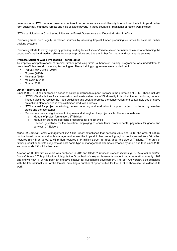governance in ITTO producer member countries in order to enhance and diversify international trade in tropical timber form sustainably managed forests and help alleviate poverty in these countries. Highlights of recent work include:

ITTO's participation in Country-Led Initiative on Forest Governance and Decentralization in Africa.

Promoting trade from legally harvested sources by assisting tropical timber producing countries to establish timber tracking systems.

Promoting efforts to verify legality by granting funding for civil society/private sector partnerships aimed at enhancing the capacity of small and medium size enterprises to produce and trade in timber from legal and sustainable sources.

#### **Promote Efficient Wood Processing Technologies**

To improve competitiveness of tropical timber producing firms, a hands-on training programme was undertaken to promote efficient wood processing technologies. These training programmes were carried out in:

- Papua New Guinea (2010)
- Guyana (2010)
- Myanmar (2010)
- Malaysia (2011)
- Ghana (2012)

#### **Other Policy Guidelines**

Since 2008, ITTO has published a series of policy guidelines to support its work in the promotion of SFM. These include:

- ITTO/IUCN Guidelines for conservation and sustainable use of Biodiversity in tropical timber producing forests. These guidelines replace the 1993 guidelines and seek to promote the conservation and sustainable use of native animal and plant species in tropical timber production forests;
- ITTO manual for project monitoring, review, reporting and evaluation to support project monitoring by member states and the secretariat
- Revised manuals and guidelines to improve and strengthen the project cycle. These manuals are:
	- $\circ$  Manual of project formulation, 3<sup>rd</sup> Edition
	- o Manual on standard operating procedures for project cycle
	- o Revised guidelines for the selection, employing of consultants, procurements, payments for goods and services, 2<sup>nd</sup> Edition;

*Status of Tropical Forest Management 2011*-The report establishes that between 2005 and 2010, the area of natural tropical forest under sustainable management across the tropical timber producing region has increased from 36 million hectares (89 million acres) to 53 million hectares (134 million acres), an area about the size of Thailand. The area of timber production forests subject to at least some type of management plan has increased by about one-third since 2005 and now totals 131 million hectares.

A report on ITTO's first 25 years was published in 2011and titled "*25 Success stories: Illustrating ITTO's quest to sustain tropical forests"*. This publication highlights the Organization's key achievements since it began operation in early 1987 and shows how ITTO has been an effective catalyst for sustainable development. The 25<sup>th</sup> Anniversary also coincided with the International Year of the forests, providing a number of opportunities for the ITTO to showcase the extent of its work.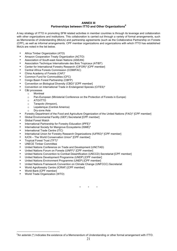#### **ANNEX III Partnerships between ITTO and Other Organizations<sup>6</sup>**

A key strategy of ITTO in promoting SFM related activities in member countries is through its leverage and collaboration with other organizations and institutions. This collaboration is carried out through a variety of formal arrangements, such as Memoranda of Understanding (MoUs) and partnership agreements (such as the Collaborative Partnership on Forests (CPF), as well as informal arrangements. CPF member organizations and organizations with which ITTO has established MoUs are noted in the list below.

- Africa Timber Organization (ATO)
- Amazon Cooperation Treaty Organization (ACTO)
- Association of South-east Asian Nations (ASEAN)
- Association Technique Internationale des Bois Tropicaux (ATIBT)
- Center for International Forestry Research (CIFOR)\* [CPF member]
- Central Africa Forests Commission (COMIFAC)
- China Academy of Forests (CAF)\*
- Common Fund for Commodities (CFC)
- Congo Basin Forest Partnership (CBFP)
- Convention on Biological Diversity (CBD)\* [CPF member]
- Convention on International Trade in Endangered Species (CITES)\*
- C&I processes
	- o Montreal
	- o Pan-European (Ministerial Conference on the Protection of Forests in Europe)
	- o ATO/ITTO
	- o Tarapoto (Amazon),
	- o Lepaterique (Central America)
	- o Dry-zone Asia
- Forestry Department of the Food and Agriculture Organization of the United Nations (FAO)\* [CPF member]
- Global Environmental Facility (GEF) Secretariat [CPF member]
- Global Forest Watch
- International Partnership for Forestry Education (IPFE)\*
- International Society for Mangrove Ecosystems (ISME)\*
- International Trade Centre (ITC)
- International Union for Forestry Research Organizations (IUFRO)\* [CPF member]
- IUCN The World Conservation Union\* [CPF member]
- Tropical Forest Trust (TFT)\*
- UNECE Timber Committee
- United Nations Conference on Trade and Development (UNCTAD)
- United Nations Forum on Forests (UNFF)\* [CPF member]
- United Nations Convention to Combat Desertification (UNCCD) Secretariat [CPF member]
- United Nations Development Programme (UNDP) [CPF member]
- United Nations Environment Programme (UNEP) [CPF member]
- United Nations Framework Convention on Climate Change (UNFCCC) Secretariat
- World Agroforestry Centre (ICRAF) [CPF member]
- World Bank [CPF member]

 $\overline{a}$ 

• World Trade Organization (WTO)

\* \* \*

<sup>6</sup> An asterisk (\*) Indicates the existence of a Memorandum of Understanding or other formal arrangement with ITTO.